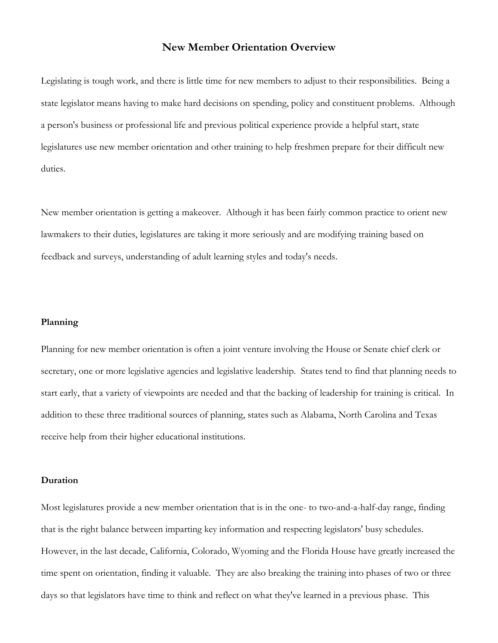## **New Member Orientation Overview**

Legislating is tough work, and there is little time for new members to adjust to their responsibilities. Being a state legislator means having to make hard decisions on spending, policy and constituent problems. Although a person's business or professional life and previous political experience provide a helpful start, state legislatures use new member orientation and other training to help freshmen prepare for their difficult new duties.

New member orientation is getting a makeover. Although it has been fairly common practice to orient new lawmakers to their duties, legislatures are taking it more seriously and are modifying training based on feedback and surveys, understanding of adult learning styles and today's needs.

## **Planning**

Planning for new member orientation is often a joint venture involving the House or Senate chief clerk or secretary, one or more legislative agencies and legislative leadership. States tend to find that planning needs to start early, that a variety of viewpoints are needed and that the backing of leadership for training is critical. In addition to these three traditional sources of planning, states such as Alabama, North Carolina and Texas receive help from their higher educational institutions.

## **Duration**

Most legislatures provide a new member orientation that is in the one- to two-and-a-half-day range, finding that is the right balance between imparting key information and respecting legislators' busy schedules. However, in the last decade, California, Colorado, Wyoming and the Florida House have greatly increased the time spent on orientation, finding it valuable. They are also breaking the training into phases of two or three days so that legislators have time to think and reflect on what they've learned in a previous phase. This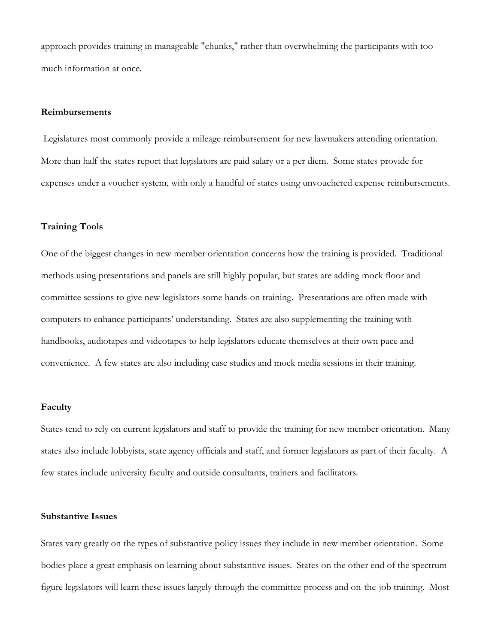approach provides training in manageable "chunks," rather than overwhelming the participants with too much information at once.

## **Reimbursements**

Legislatures most commonly provide a mileage reimbursement for new lawmakers attending orientation. More than half the states report that legislators are paid salary or a per diem. Some states provide for expenses under a voucher system, with only a handful of states using unvouchered expense reimbursements.

### **Training Tools**

One of the biggest changes in new member orientation concerns how the training is provided. Traditional methods using presentations and panels are still highly popular, but states are adding mock floor and committee sessions to give new legislators some hands-on training. Presentations are often made with computers to enhance participants' understanding. States are also supplementing the training with handbooks, audiotapes and videotapes to help legislators educate themselves at their own pace and convenience. A few states are also including case studies and mock media sessions in their training.

### **Faculty**

States tend to rely on current legislators and staff to provide the training for new member orientation. Many states also include lobbyists, state agency officials and staff, and former legislators as part of their faculty. A few states include university faculty and outside consultants, trainers and facilitators.

### **Substantive Issues**

States vary greatly on the types of substantive policy issues they include in new member orientation. Some bodies place a great emphasis on learning about substantive issues. States on the other end of the spectrum figure legislators will learn these issues largely through the committee process and on-the-job training. Most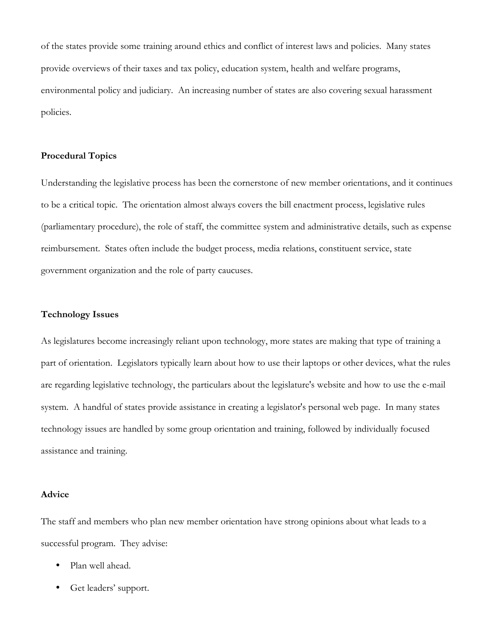of the states provide some training around ethics and conflict of interest laws and policies. Many states provide overviews of their taxes and tax policy, education system, health and welfare programs, environmental policy and judiciary. An increasing number of states are also covering sexual harassment policies.

## **Procedural Topics**

Understanding the legislative process has been the cornerstone of new member orientations, and it continues to be a critical topic. The orientation almost always covers the bill enactment process, legislative rules (parliamentary procedure), the role of staff, the committee system and administrative details, such as expense reimbursement. States often include the budget process, media relations, constituent service, state government organization and the role of party caucuses.

## **Technology Issues**

As legislatures become increasingly reliant upon technology, more states are making that type of training a part of orientation. Legislators typically learn about how to use their laptops or other devices, what the rules are regarding legislative technology, the particulars about the legislature's website and how to use the e-mail system. A handful of states provide assistance in creating a legislator's personal web page. In many states technology issues are handled by some group orientation and training, followed by individually focused assistance and training.

#### **Advice**

The staff and members who plan new member orientation have strong opinions about what leads to a successful program. They advise:

- Plan well ahead.
- Get leaders' support.